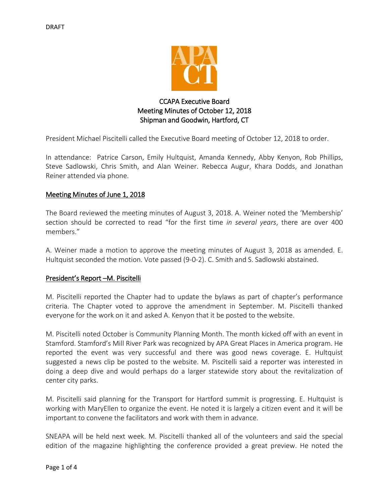

# CCAPA Executive Board Meeting Minutes of October 12, 2018 Shipman and Goodwin, Hartford, CT

President Michael Piscitelli called the Executive Board meeting of October 12, 2018 to order.

In attendance: Patrice Carson, Emily Hultquist, Amanda Kennedy, Abby Kenyon, Rob Phillips, Steve Sadlowski, Chris Smith, and Alan Weiner. Rebecca Augur, Khara Dodds, and Jonathan Reiner attended via phone.

## Meeting Minutes of June 1, 2018

The Board reviewed the meeting minutes of August 3, 2018. A. Weiner noted the 'Membership' section should be corrected to read "for the first time *in several years*, there are over 400 members."

A. Weiner made a motion to approve the meeting minutes of August 3, 2018 as amended. E. Hultquist seconded the motion. Vote passed (9-0-2). C. Smith and S. Sadlowski abstained.

## President's Report –M. Piscitelli

M. Piscitelli reported the Chapter had to update the bylaws as part of chapter's performance criteria. The Chapter voted to approve the amendment in September. M. Piscitelli thanked everyone for the work on it and asked A. Kenyon that it be posted to the website.

M. Piscitelli noted October is Community Planning Month. The month kicked off with an event in Stamford. Stamford's Mill River Park was recognized by APA Great Places in America program. He reported the event was very successful and there was good news coverage. E. Hultquist suggested a news clip be posted to the website. M. Piscitelli said a reporter was interested in doing a deep dive and would perhaps do a larger statewide story about the revitalization of center city parks.

M. Piscitelli said planning for the Transport for Hartford summit is progressing. E. Hultquist is working with MaryEllen to organize the event. He noted it is largely a citizen event and it will be important to convene the facilitators and work with them in advance.

SNEAPA will be held next week. M. Piscitelli thanked all of the volunteers and said the special edition of the magazine highlighting the conference provided a great preview. He noted the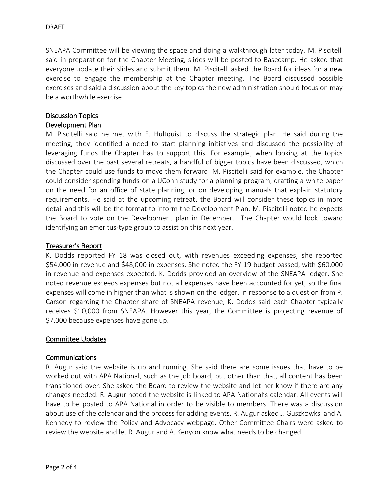SNEAPA Committee will be viewing the space and doing a walkthrough later today. M. Piscitelli said in preparation for the Chapter Meeting, slides will be posted to Basecamp. He asked that everyone update their slides and submit them. M. Piscitelli asked the Board for ideas for a new exercise to engage the membership at the Chapter meeting. The Board discussed possible exercises and said a discussion about the key topics the new administration should focus on may be a worthwhile exercise.

## Discussion Topics

## Development Plan

M. Piscitelli said he met with E. Hultquist to discuss the strategic plan. He said during the meeting, they identified a need to start planning initiatives and discussed the possibility of leveraging funds the Chapter has to support this. For example, when looking at the topics discussed over the past several retreats, a handful of bigger topics have been discussed, which the Chapter could use funds to move them forward. M. Piscitelli said for example, the Chapter could consider spending funds on a UConn study for a planning program, drafting a white paper on the need for an office of state planning, or on developing manuals that explain statutory requirements. He said at the upcoming retreat, the Board will consider these topics in more detail and this will be the format to inform the Development Plan. M. Piscitelli noted he expects the Board to vote on the Development plan in December. The Chapter would look toward identifying an emeritus-type group to assist on this next year.

## Treasurer's Report

K. Dodds reported FY 18 was closed out, with revenues exceeding expenses; she reported \$54,000 in revenue and \$48,000 in expenses. She noted the FY 19 budget passed, with \$60,000 in revenue and expenses expected. K. Dodds provided an overview of the SNEAPA ledger. She noted revenue exceeds expenses but not all expenses have been accounted for yet, so the final expenses will come in higher than what is shown on the ledger. In response to a question from P. Carson regarding the Chapter share of SNEAPA revenue, K. Dodds said each Chapter typically receives \$10,000 from SNEAPA. However this year, the Committee is projecting revenue of \$7,000 because expenses have gone up.

### Committee Updates

### Communications

R. Augur said the website is up and running. She said there are some issues that have to be worked out with APA National, such as the job board, but other than that, all content has been transitioned over. She asked the Board to review the website and let her know if there are any changes needed. R. Augur noted the website is linked to APA National's calendar. All events will have to be posted to APA National in order to be visible to members. There was a discussion about use of the calendar and the process for adding events. R. Augur asked J. Guszkowksi and A. Kennedy to review the Policy and Advocacy webpage. Other Committee Chairs were asked to review the website and let R. Augur and A. Kenyon know what needs to be changed.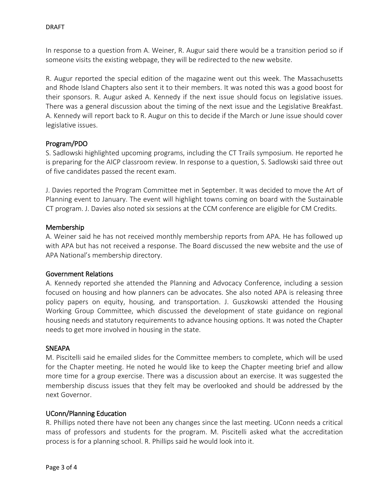In response to a question from A. Weiner, R. Augur said there would be a transition period so if someone visits the existing webpage, they will be redirected to the new website.

R. Augur reported the special edition of the magazine went out this week. The Massachusetts and Rhode Island Chapters also sent it to their members. It was noted this was a good boost for their sponsors. R. Augur asked A. Kennedy if the next issue should focus on legislative issues. There was a general discussion about the timing of the next issue and the Legislative Breakfast. A. Kennedy will report back to R. Augur on this to decide if the March or June issue should cover legislative issues.

## Program/PDO

S. Sadlowski highlighted upcoming programs, including the CT Trails symposium. He reported he is preparing for the AICP classroom review. In response to a question, S. Sadlowski said three out of five candidates passed the recent exam.

J. Davies reported the Program Committee met in September. It was decided to move the Art of Planning event to January. The event will highlight towns coming on board with the Sustainable CT program. J. Davies also noted six sessions at the CCM conference are eligible for CM Credits.

## Membership

A. Weiner said he has not received monthly membership reports from APA. He has followed up with APA but has not received a response. The Board discussed the new website and the use of APA National's membership directory.

## Government Relations

A. Kennedy reported she attended the Planning and Advocacy Conference, including a session focused on housing and how planners can be advocates. She also noted APA is releasing three policy papers on equity, housing, and transportation. J. Guszkowski attended the Housing Working Group Committee, which discussed the development of state guidance on regional housing needs and statutory requirements to advance housing options. It was noted the Chapter needs to get more involved in housing in the state.

### **SNEAPA**

M. Piscitelli said he emailed slides for the Committee members to complete, which will be used for the Chapter meeting. He noted he would like to keep the Chapter meeting brief and allow more time for a group exercise. There was a discussion about an exercise. It was suggested the membership discuss issues that they felt may be overlooked and should be addressed by the next Governor.

## UConn/Planning Education

R. Phillips noted there have not been any changes since the last meeting. UConn needs a critical mass of professors and students for the program. M. Piscitelli asked what the accreditation process is for a planning school. R. Phillips said he would look into it.